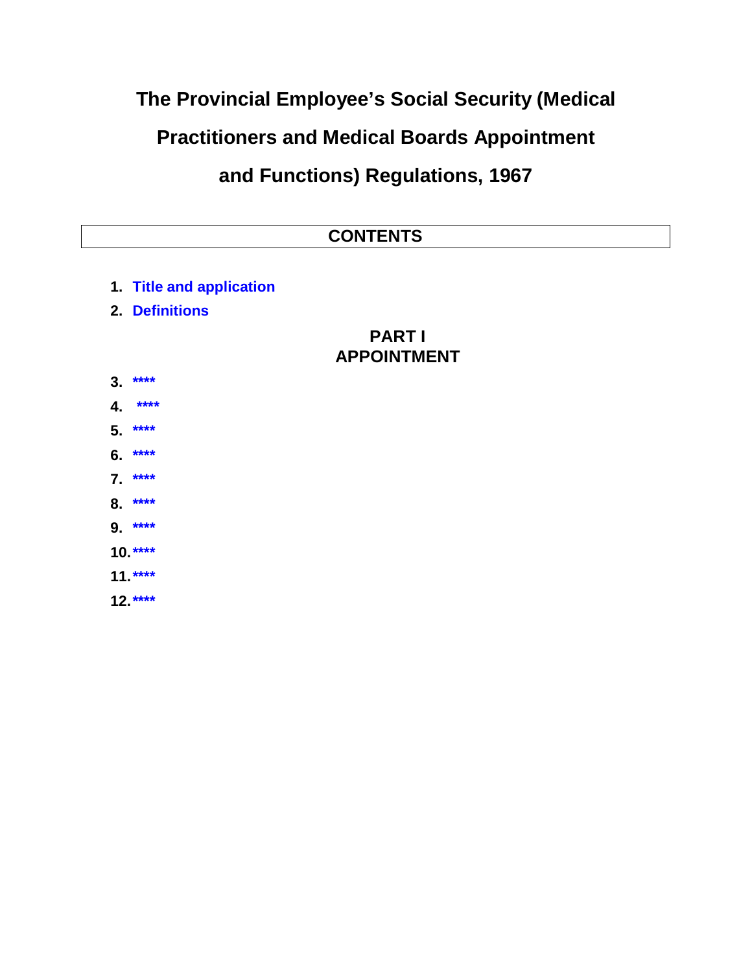## The Provincial Employee's Social Security (Medical **Practitioners and Medical Boards Appointment** and Functions) Regulations, 1967

- 1. Title and application
- 2. Definitions

## **PARTI APPOINTMENT**

- $3.***$
- 4. \*\*\*\*
- $5.***$
- 6. \*\*\*\*
- $7.***$
- $8.***$
- $9.***$
- $10***$
- $11***$
- $12***$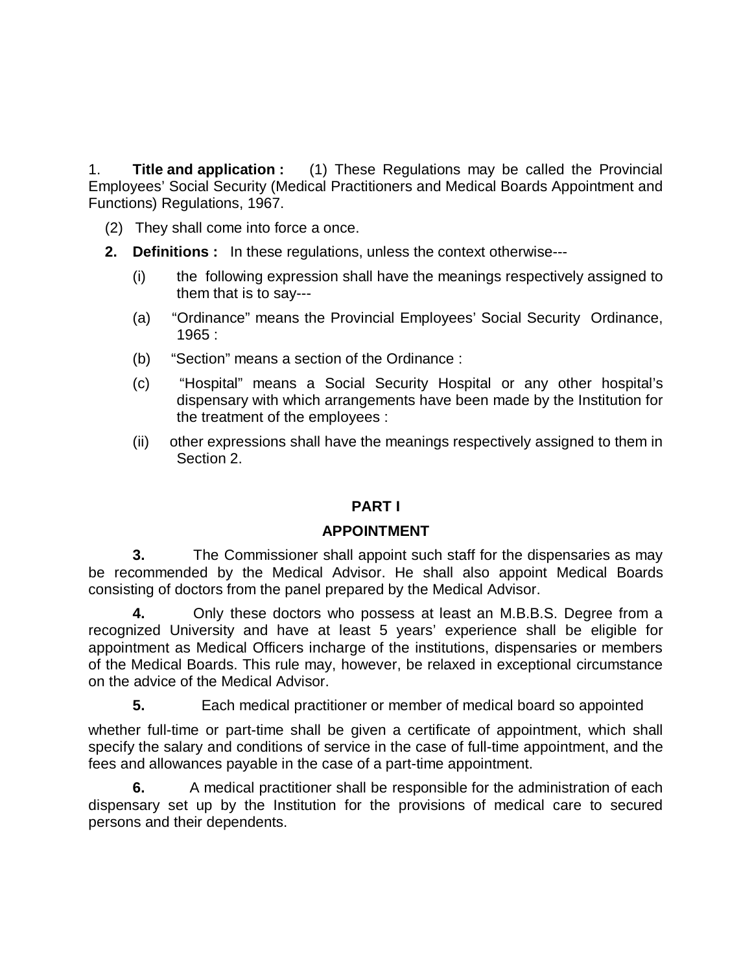1. **Title and application :** (1) These Regulations may be called the Provincial Employees' Social Security (Medical Practitioners and Medical Boards Appointment and Functions) Regulations, 1967.

- (2) They shall come into force a once.
- **2. Definitions :** In these regulations, unless the context otherwise---
	- (i) the following expression shall have the meanings respectively assigned to them that is to say---
	- (a) "Ordinance" means the Provincial Employees' Social Security Ordinance, 1965 :
	- (b) "Section" means a section of the Ordinance :
	- (c) "Hospital" means a Social Security Hospital or any other hospital's dispensary with which arrangements have been made by the Institution for the treatment of the employees :
	- (ii) other expressions shall have the meanings respectively assigned to them in Section 2.

## **PART I**

## **APPOINTMENT**

**3.** The Commissioner shall appoint such staff for the dispensaries as may be recommended by the Medical Advisor. He shall also appoint Medical Boards consisting of doctors from the panel prepared by the Medical Advisor.

**4.** Only these doctors who possess at least an M.B.B.S. Degree from a recognized University and have at least 5 years' experience shall be eligible for appointment as Medical Officers incharge of the institutions, dispensaries or members of the Medical Boards. This rule may, however, be relaxed in exceptional circumstance on the advice of the Medical Advisor.

**5.** Each medical practitioner or member of medical board so appointed

whether full-time or part-time shall be given a certificate of appointment, which shall specify the salary and conditions of service in the case of full-time appointment, and the fees and allowances payable in the case of a part-time appointment.

**6.** A medical practitioner shall be responsible for the administration of each dispensary set up by the Institution for the provisions of medical care to secured persons and their dependents.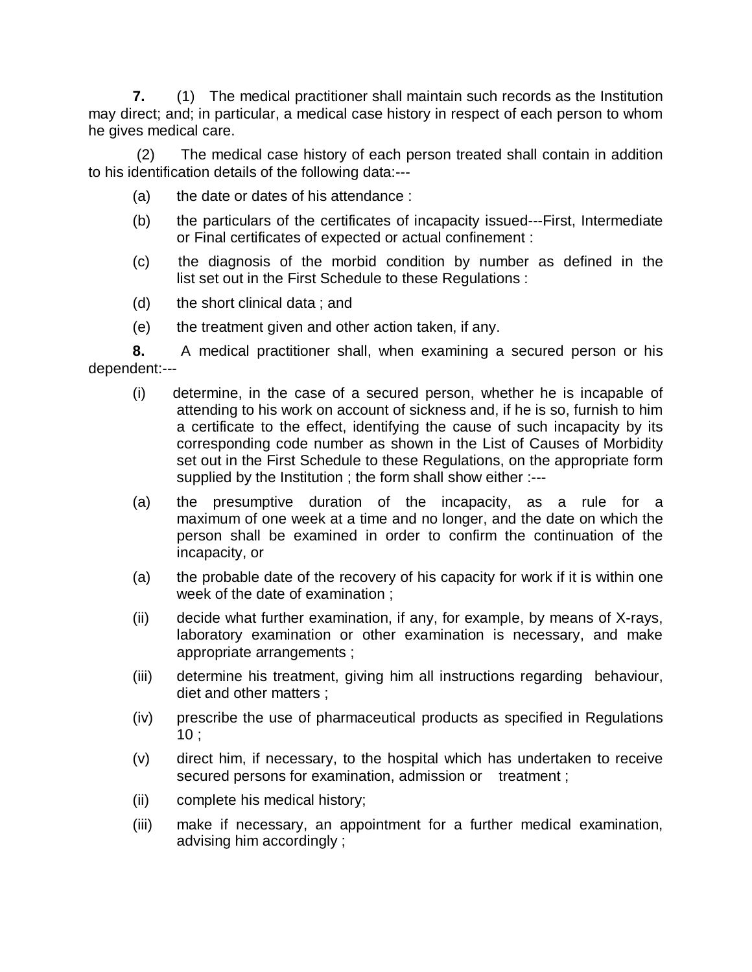**7.** (1)The medical practitioner shall maintain such records as the Institution may direct; and; in particular, a medical case history in respect of each person to whom he gives medical care.

(2) The medical case history of each person treated shall contain in addition to his identification details of the following data:---

- (a) the date or dates of his attendance :
- (b) the particulars of the certificates of incapacity issued---First, Intermediate or Final certificates of expected or actual confinement :
- (c) the diagnosis of the morbid condition by number as defined in the list set out in the First Schedule to these Regulations :
- (d) the short clinical data ; and
- (e) the treatment given and other action taken, if any.

**8.** A medical practitioner shall, when examining a secured person or his dependent:---

- (i) determine, in the case of a secured person, whether he is incapable of attending to his work on account of sickness and, if he is so, furnish to him a certificate to the effect, identifying the cause of such incapacity by its corresponding code number as shown in the List of Causes of Morbidity set out in the First Schedule to these Regulations, on the appropriate form supplied by the Institution ; the form shall show either :---
- (a) the presumptive duration of the incapacity, as a rule for a maximum of one week at a time and no longer, and the date on which the person shall be examined in order to confirm the continuation of the incapacity, or
- (a) the probable date of the recovery of his capacity for work if it is within one week of the date of examination ;
- (ii) decide what further examination, if any, for example, by means of X-rays, laboratory examination or other examination is necessary, and make appropriate arrangements ;
- (iii) determine his treatment, giving him all instructions regarding behaviour, diet and other matters ;
- (iv) prescribe the use of pharmaceutical products as specified in Regulations  $10;$
- (v) direct him, if necessary, to the hospital which has undertaken to receive secured persons for examination, admission or treatment;
- (ii) complete his medical history;
- (iii) make if necessary, an appointment for a further medical examination, advising him accordingly ;